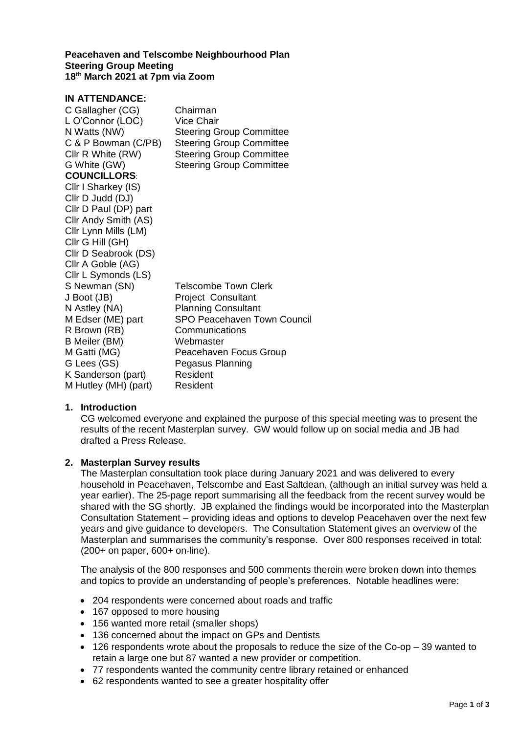#### **Peacehaven and Telscombe Neighbourhood Plan Steering Group Meeting 18th March 2021 at 7pm via Zoom**

#### **IN ATTENDANCE:**

| C Gallagher (CG)      | Chairman                           |
|-----------------------|------------------------------------|
| L O'Connor (LOC)      | <b>Vice Chair</b>                  |
| N Watts (NW)          | <b>Steering Group Committee</b>    |
| C & P Bowman (C/PB)   | <b>Steering Group Committee</b>    |
| Cllr R White (RW)     | <b>Steering Group Committee</b>    |
| G White (GW)          | <b>Steering Group Committee</b>    |
| <b>COUNCILLORS</b>    |                                    |
| Cllr I Sharkey (IS)   |                                    |
| Cllr D Judd (DJ)      |                                    |
| Cllr D Paul (DP) part |                                    |
| Cllr Andy Smith (AS)  |                                    |
| Cllr Lynn Mills (LM)  |                                    |
| Cllr G Hill (GH)      |                                    |
| Cllr D Seabrook (DS)  |                                    |
| Cllr A Goble (AG)     |                                    |
| Cllr L Symonds (LS)   |                                    |
| S Newman (SN)         | Telscombe Town Clerk               |
| J Boot (JB)           | <b>Project Consultant</b>          |
| N Astley (NA)         | <b>Planning Consultant</b>         |
| M Edser (ME) part     | <b>SPO Peacehaven Town Council</b> |
| R Brown (RB)          | Communications                     |
| B Meiler (BM)         | Webmaster                          |
| M Gatti (MG)          | Peacehaven Focus Group             |
| G Lees (GS)           | Pegasus Planning                   |
| K Sanderson (part)    | Resident                           |
| M Hutley (MH) (part)  | Resident                           |
|                       |                                    |

#### **1. Introduction**

CG welcomed everyone and explained the purpose of this special meeting was to present the results of the recent Masterplan survey. GW would follow up on social media and JB had drafted a Press Release.

## **2. Masterplan Survey results**

The Masterplan consultation took place during January 2021 and was delivered to every household in Peacehaven, Telscombe and East Saltdean, (although an initial survey was held a year earlier). The 25-page report summarising all the feedback from the recent survey would be shared with the SG shortly. JB explained the findings would be incorporated into the Masterplan Consultation Statement – providing ideas and options to develop Peacehaven over the next few years and give guidance to developers. The Consultation Statement gives an overview of the Masterplan and summarises the community's response. Over 800 responses received in total: (200+ on paper, 600+ on-line).

The analysis of the 800 responses and 500 comments therein were broken down into themes and topics to provide an understanding of people's preferences. Notable headlines were:

- 204 respondents were concerned about roads and traffic
- 167 opposed to more housing
- 156 wanted more retail (smaller shops)
- 136 concerned about the impact on GPs and Dentists
- 126 respondents wrote about the proposals to reduce the size of the Co-op 39 wanted to retain a large one but 87 wanted a new provider or competition.
- 77 respondents wanted the community centre library retained or enhanced
- 62 respondents wanted to see a greater hospitality offer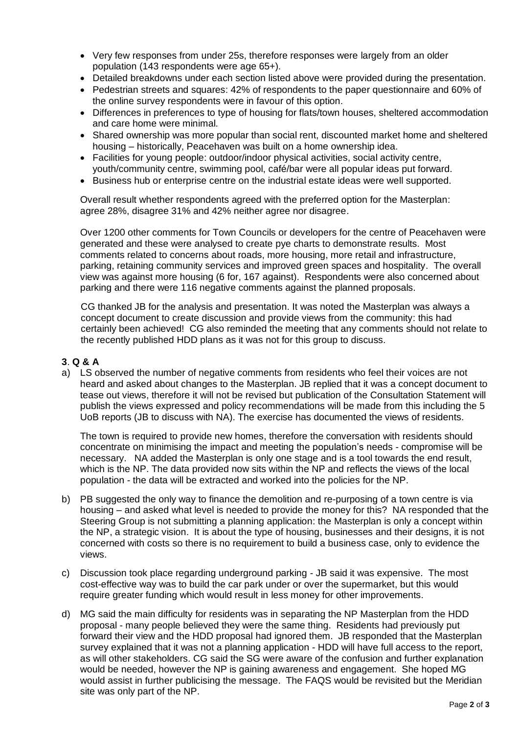- Very few responses from under 25s, therefore responses were largely from an older population (143 respondents were age 65+).
- Detailed breakdowns under each section listed above were provided during the presentation.
- Pedestrian streets and squares: 42% of respondents to the paper questionnaire and 60% of the online survey respondents were in favour of this option.
- Differences in preferences to type of housing for flats/town houses, sheltered accommodation and care home were minimal.
- Shared ownership was more popular than social rent, discounted market home and sheltered housing – historically, Peacehaven was built on a home ownership idea.
- Facilities for young people: outdoor/indoor physical activities, social activity centre, youth/community centre, swimming pool, café/bar were all popular ideas put forward.
- Business hub or enterprise centre on the industrial estate ideas were well supported.

Overall result whether respondents agreed with the preferred option for the Masterplan: agree 28%, disagree 31% and 42% neither agree nor disagree.

Over 1200 other comments for Town Councils or developers for the centre of Peacehaven were generated and these were analysed to create pye charts to demonstrate results. Most comments related to concerns about roads, more housing, more retail and infrastructure, parking, retaining community services and improved green spaces and hospitality. The overall view was against more housing (6 for, 167 against). Respondents were also concerned about parking and there were 116 negative comments against the planned proposals.

CG thanked JB for the analysis and presentation. It was noted the Masterplan was always a concept document to create discussion and provide views from the community: this had certainly been achieved! CG also reminded the meeting that any comments should not relate to the recently published HDD plans as it was not for this group to discuss.

# **3**. **Q & A**

a) LS observed the number of negative comments from residents who feel their voices are not heard and asked about changes to the Masterplan. JB replied that it was a concept document to tease out views, therefore it will not be revised but publication of the Consultation Statement will publish the views expressed and policy recommendations will be made from this including the 5 UoB reports (JB to discuss with NA). The exercise has documented the views of residents.

The town is required to provide new homes, therefore the conversation with residents should concentrate on minimising the impact and meeting the population's needs - compromise will be necessary. NA added the Masterplan is only one stage and is a tool towards the end result, which is the NP. The data provided now sits within the NP and reflects the views of the local population - the data will be extracted and worked into the policies for the NP.

- b) PB suggested the only way to finance the demolition and re-purposing of a town centre is via housing – and asked what level is needed to provide the money for this? NA responded that the Steering Group is not submitting a planning application: the Masterplan is only a concept within the NP, a strategic vision. It is about the type of housing, businesses and their designs, it is not concerned with costs so there is no requirement to build a business case, only to evidence the views.
- c) Discussion took place regarding underground parking JB said it was expensive. The most cost-effective way was to build the car park under or over the supermarket, but this would require greater funding which would result in less money for other improvements.
- d) MG said the main difficulty for residents was in separating the NP Masterplan from the HDD proposal - many people believed they were the same thing. Residents had previously put forward their view and the HDD proposal had ignored them. JB responded that the Masterplan survey explained that it was not a planning application - HDD will have full access to the report, as will other stakeholders. CG said the SG were aware of the confusion and further explanation would be needed, however the NP is gaining awareness and engagement. She hoped MG would assist in further publicising the message. The FAQS would be revisited but the Meridian site was only part of the NP.